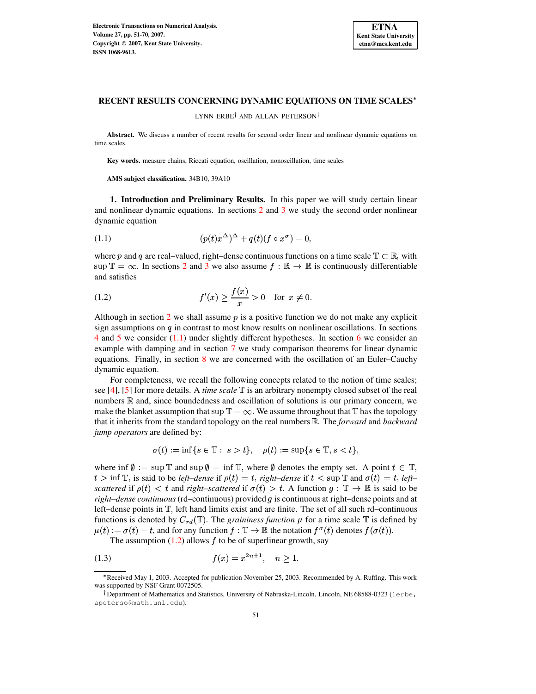

LYNN ERBE<sup>†</sup> AND ALLAN PETERSON<sup>†</sup>

**Abstract.** We discuss a number of recent results for second order linear and nonlinear dynamic equations on time scales.

**Key words.** measure chains, Riccati equation, oscillation, nonoscillation, time scales

**AMS subject classification.** 34B10, 39A10

**1. Introduction and Preliminary Results.** In this paper we will study certain linear and nonlinear dynamic equations. In sections [2](#page-1-0) and [3](#page-2-0) we study the second order nonlinear dynamic equation

<span id="page-0-0"></span>(1.1) 
$$
(p(t)x^{\Delta})^{\Delta} + q(t)(f \circ x^{\sigma}) = 0,
$$

where p and q are real–valued, right–dense continuous functions on a time scale  $\mathbb{T} \subset \mathbb{R}$ , with  $\sup \mathbb{T} = \infty$ . In sections [2](#page-1-0) and [3](#page-2-0) we also assume  $f : \mathbb{R} \to \mathbb{R}$  is continuously differentiable and satisfies

<span id="page-0-1"></span>(1.2) 
$$
f'(x) \ge \frac{f(x)}{x} > 0 \text{ for } x \ne 0.
$$

Although in section [2](#page-1-0) we shall assume  $p$  is a positive function we do not make any explicit sign assumptions on  $q$  in contrast to most know results on nonlinear oscillations. In sections [4](#page-4-0) and [5](#page-8-0) we consider [\(1.1\)](#page-0-0) under slightly different hypotheses. In section [6](#page-9-0) we consider an example with damping and in section [7](#page-12-0) we study comparison theorems for linear dynamic equations. Finally, in section [8](#page-16-0) we are concerned with the oscillation of an Euler–Cauchy dynamic equation.

For completeness, we recall the following concepts related to the notion of time scales; see [\[4\]](#page-19-0), [\[5\]](#page-19-1) for more details. A *time scale*  $\mathbb T$  is an arbitrary nonempty closed subset of the real numbers  $\mathbb R$  and, since boundedness and oscillation of solutions is our primary concern, we make the blanket assumption that  $\sup \mathbb{T} = \infty$ . We assume throughout that  $\mathbb{T}$  has the topology that it inherits from the standard topology on the real numbers & . The *forward* and *backward jump operators* are defined by:

$$
\sigma(t) := \inf\{s \in \mathbb{T} : s > t\}, \quad \rho(t) := \sup\{s \in \mathbb{T}, s < t\},
$$

where  $\inf \emptyset := \sup \mathbb{T}$  and  $\sup \emptyset = \inf \mathbb{T}$ , where  $\emptyset$  denotes the empty set. A point  $t \in \mathbb{T}$ ,  $t > \inf \mathbb{T}$ , is said to be *left–dense* if  $\rho(t) = t$ , *right–dense* if  $t < \sup \mathbb{T}$  and  $\sigma(t) = t$ , *left– scattered* if  $\rho(t) < t$  and *right–scattered* if  $\sigma(t) > t$ . A function  $g : \mathbb{T} \to \mathbb{R}$  is said to be *right–dense continuous* (rd–continuous) provided  $q$  is continuous at right–dense points and at left–dense points in  $\mathbb{T}$ , left hand limits exist and are finite. The set of all such rd–continuous functions is denoted by  $C_{rd}(\mathbb{T})$ . The *graininess function*  $\mu$  for a time scale  $\mathbb{T}$  is defined by  $\mu(t) := \sigma(t) - t$ , and for any function  $f : \mathbb{T} \to \mathbb{R}$  the notation  $f^{\sigma}(t)$  denotes  $f(\sigma(t))$ .

<span id="page-0-2"></span>The assumption  $(1.2)$  allows f to be of superlinear growth, say

$$
(1.3) \t\t f(x) = x^{2n+1}, \quad n \ge 1.
$$

<sup>s</sup> Received May 1, 2003. Accepted for publication November 25, 2003. Recommended by A. Ruffing. This work was supported by NSF Grant 0072505.

<sup>&</sup>lt;sup>†</sup> Department of Mathematics and Statistics, University of Nebraska-Lincoln, Lincoln, NE 68588-0323 (lerbe, apeterso@math.unl.edu).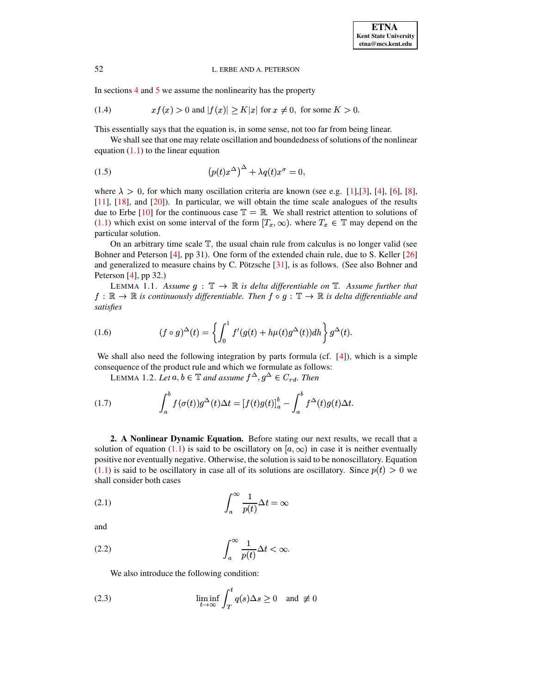<span id="page-1-5"></span>In sections [4](#page-4-0) and [5](#page-8-0) we assume the nonlinearity has the property

$$
(1.4) \t xf(x) > 0 \text{ and } |f(x)| \ge K|x| \text{ for } x \ne 0, \text{ for some } K > 0.
$$

This essentially says that the equation is, in some sense, not too far from being linear.

We shall see that one may relate oscillation and boundedness of solutions of the nonlinear equation  $(1.1)$  to the linear equation

<span id="page-1-3"></span>
$$
(1.5) \qquad (p(t)x^{\Delta})^{\Delta} + \lambda q(t)x^{\sigma} = 0,
$$

where  $\lambda > 0$ , for which many oscillation criteria are known (see e.g. [\[1\]](#page-18-0), [\[3\]](#page-18-1), [\[4\]](#page-19-0), [\[6\]](#page-19-2), [\[8\]](#page-19-3), [\[11\]](#page-19-4), [\[18\]](#page-19-5), and [\[20\]](#page-19-6)). In particular, we will obtain the time scale analogues of the results due to Erbe [\[10\]](#page-19-7) for the continuous case  $\mathbb{T} = \mathbb{R}$ . We shall restrict attention to solutions of [\(1.1\)](#page-0-0) which exist on some interval of the form  $[T_x, \infty)$ . where  $T_x \in \mathbb{T}$  may depend on the particular solution.

On an arbitrary time scale  $T$ , the usual chain rule from calculus is no longer valid (see Bohner and Peterson [\[4\]](#page-19-0), pp 31). One form of the extended chain rule, due to S. Keller [\[26\]](#page-19-8) and generalized to measure chains by C. Pötzsche  $[31]$ , is as follows. (See also Bohner and Peterson  $[4]$ , pp 32.)

LEMMA 1.1. Assume  $g : \mathbb{T} \to \mathbb{R}$  is delta differentiable on  $\mathbb{T}$ . Assume further that  $f: \mathbb{R} \to \mathbb{R}$  is continuously differentiable. Then  $f \circ g: \mathbb{T} \to \mathbb{R}$  is delta differentiable and *satisfies*

(1.6) 
$$
(f \circ g)^{\Delta}(t) = \left\{ \int_0^1 f'(g(t) + h\mu(t)g^{\Delta}(t))dh \right\} g^{\Delta}(t).
$$

We shall also need the following integration by parts formula (cf. [\[4\]](#page-19-0)), which is a simple consequence of the product rule and which we formulate as follows:

LEMMA 1.2. Let  $a, b \in \mathbb{T}$  and assume  $f^{\Delta}, g^{\Delta} \in C_{rd}$ . Then

(1.7) 
$$
\int_a^b f(\sigma(t))g^{\Delta}(t)\Delta t = [f(t)g(t)]_a^b - \int_a^b f^{\Delta}(t)g(t)\Delta t.
$$

<span id="page-1-0"></span>**2. A Nonlinear Dynamic Equation.** Before stating our next results, we recall that a solution of equation [\(1.1\)](#page-0-0) is said to be oscillatory on  $[a,\infty)$  in case it is neither eventually positive nor eventually negative. Otherwise, the solution is said to be nonoscillatory. Equation [\(1.1\)](#page-0-0) is said to be oscillatory in case all of its solutions are oscillatory. Since  $p(t) > 0$  we shall consider both cases

<span id="page-1-2"></span>(2.1) 
$$
\int_{a}^{\infty} \frac{1}{p(t)} \Delta t = \infty
$$

and

$$
(2.2)\qquad \qquad \int_a^\infty \frac{1}{p(t)} \Delta t < \infty.
$$

<span id="page-1-4"></span><span id="page-1-1"></span>We also introduce the following condition:

(2.3) 
$$
\liminf_{t \to \infty} \int_T^t q(s) \Delta s \ge 0 \text{ and } \neq 0
$$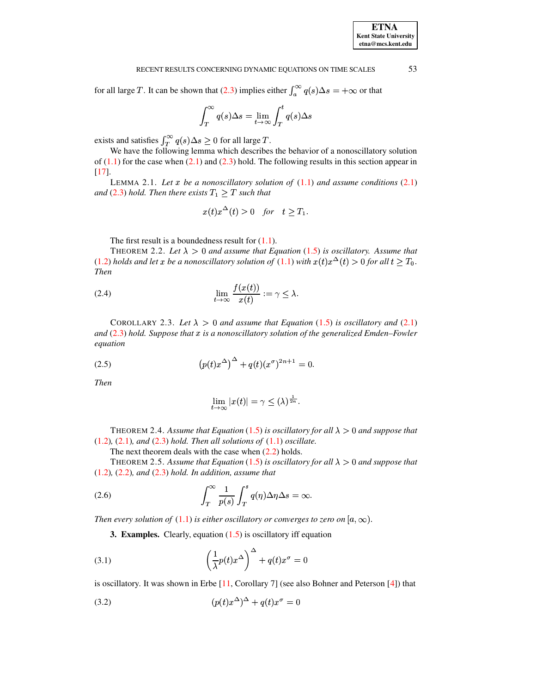for all large T. It can be shown that [\(2.3\)](#page-1-1) implies either  $\int_{\alpha}^{\infty} q(s) \Delta s = +\infty$  or that

$$
\int_T^{\infty} q(s) \Delta s = \lim_{t \to \infty} \int_T^t q(s) \Delta s
$$

exists and satisfies  $\int_T^{\infty} q(s) \Delta s \ge 0$  for all large T.

We have the following lemma which describes the behavior of a nonoscillatory solution of  $(1.1)$  for the case when  $(2.1)$  and  $(2.3)$  hold. The following results in this section appear in [\[17\]](#page-19-10).

<span id="page-2-6"></span>LEMMA 2.1. *Let be a nonoscillatory solution of* [\(1.1\)](#page-0-0) *and assume conditions* [\(2.1\)](#page-1-2) *and* [\(2.3\)](#page-1-1) *hold. Then there exists*  $T_1 \geq T$  *such that* 

$$
x(t)x^{\Delta}(t) > 0 \quad \text{for} \quad t \ge T_1.
$$

The first result is a boundedness result for  $(1.1)$ .

<span id="page-2-2"></span>THEOREM 2.2. Let  $\lambda > 0$  and assume that Equation [\(1.5\)](#page-1-3) is oscillatory. Assume that  $(1.2)$  *holds* and let x be a nonoscillatory solution of  $(1.1)$  with  $x(t)x^{\Delta}(t) > 0$  for all  $t \geq T_0$ . *Then*

(2.4) 
$$
\lim_{t \to \infty} \frac{f(x(t))}{x(t)} := \gamma \leq \lambda.
$$

<span id="page-2-5"></span>COROLLARY 2.3. Let  $\lambda > 0$  and assume that Equation [\(1.5\)](#page-1-3) is oscillatory and [\(2.1\)](#page-1-2) *and* [\(2.3\)](#page-1-1) *hold. Suppose that is a nonoscillatory solution of the generalized Emden–Fowler equation*

<span id="page-2-4"></span>(2.5) 
$$
(p(t)x^{\Delta})^{\Delta} + q(t)(x^{\sigma})^{2n+1} = 0.
$$

*Then*

$$
\lim_{t\to\infty}|x(t)|=\gamma\leq(\lambda)^{\frac{1}{2n}}.
$$

<span id="page-2-3"></span>THEOREM 2.4. Assume that Equation [\(1.5\)](#page-1-3) is oscillatory for all  $\lambda > 0$  and suppose that [\(1.2\)](#page-0-1)*,* [\(2.1\)](#page-1-2)*, and* [\(2.3\)](#page-1-1) *hold. Then all solutions of* [\(1.1\)](#page-0-0) *oscillate.*

The next theorem deals with the case when  $(2.2)$  holds.

THEOREM 2.5. Assume that Equation [\(1.5\)](#page-1-3) is oscillatory for all  $\lambda > 0$  and suppose that [\(1.2\)](#page-0-1)*,* [\(2.2\)](#page-1-4)*, and* [\(2.3\)](#page-1-1) *hold. In addition, assume that*

(2.6) 
$$
\int_T^{\infty} \frac{1}{p(s)} \int_T^s q(\eta) \Delta \eta \Delta s = \infty.
$$

<span id="page-2-0"></span>*Then every solution of*  $(1.1)$  *is either oscillatory or converges to zero on*  $[a, \infty)$ .

**3. Examples.** Clearly, equation [\(1.5\)](#page-1-3) is oscillatory iff equation

(3.1) 
$$
\left(\frac{1}{\lambda}p(t)x^{\Delta}\right)^{\Delta} + q(t)x^{\sigma} = 0
$$

is oscillatory. It was shown in Erbe [\[11,](#page-19-4) Corollary 7] (see also Bohner and Peterson [\[4\]](#page-19-0)) that

<span id="page-2-1"></span>
$$
(3.2)\qquad \qquad (p(t)x^{\Delta})^{\Delta} + q(t)x^{\sigma} = 0
$$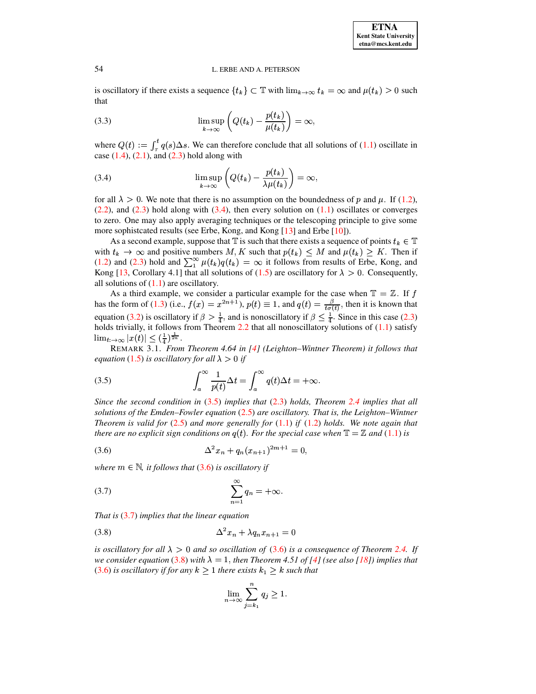is oscillatory if there exists a sequence  $\{t_k\} \subset \mathbb{T}$  with  $\lim_{k \to \infty} t_k = \infty$  and  $\mu(t_k) > 0$  such that

(3.3) 
$$
\limsup_{k\to\infty}\left(Q(t_k)-\frac{p(t_k)}{\mu(t_k)}\right)=\infty,
$$

where  $Q(t) := \int_{\tau}^{t} q(s) \Delta s$ . We can therefore conclude that all solutions of [\(1.1\)](#page-0-0) oscillate in case  $(1.4)$ ,  $(2.1)$ , and  $(2.3)$  hold along with

<span id="page-3-0"></span>(3.4) 
$$
\limsup_{k \to \infty} \left( Q(t_k) - \frac{p(t_k)}{\lambda \mu(t_k)} \right) = \infty,
$$

for all  $\lambda > 0$ . We note that there is no assumption on the boundedness of p and  $\mu$ . If [\(1.2\)](#page-0-1),  $(2.2)$ , and  $(2.3)$  hold along with  $(3.4)$ , then every solution on  $(1.1)$  oscillates or converges to zero. One may also apply averaging techniques or the telescoping principle to give some more sophistcated results (see Erbe, Kong, and Kong [\[13\]](#page-19-11) and Erbe [\[10\]](#page-19-7)).

As a second example, suppose that  $\mathbb T$  is such that there exists a sequence of points  $t_k \in \mathbb T$ with  $t_k \to \infty$  and positive numbers M, K such that  $p(t_k) \leq M$  and  $\mu(t_k) \geq K$ . Then if  $(1.2)$  and  $(2.3)$  hold and  $\sum_{i=1}^{\infty} \mu(t_k) q(t_k) = \infty$  it follows from results of Erbe, Kong, and Kong [\[13,](#page-19-11) Corollary 4.1] that all solutions of [\(1.5\)](#page-1-3) are oscillatory for  $\lambda > 0$ . Consequently, all solutions of  $(1.1)$  are oscillatory.

As a third example, we consider a particular example for the case when  $\mathbb{T} = \mathbb{Z}$ . If f has the form of [\(1.3\)](#page-0-2) (i.e.,  $f(x) = x^{2n+1}$ ),  $p(t) \equiv 1$ , and  $q(t) = \frac{p}{t a f(t)}$ , then it is known that equation [\(3.2\)](#page-2-1) is oscillatory if  $\beta > \frac{1}{4}$ , and is nonoscillatory if  $\beta \leq \frac{1}{4}$ . Since in this case [\(2.3\)](#page-1-1) holds trivially, it follows from Theorem [2.2](#page-2-2) that all nonoscillatory solutions of  $(1.1)$  satisfy  $\lim_{t\to\infty} |x(t)| \leq (\frac{1}{4})^{\frac{1}{2n}}.$ 

REMARK 3.1. *From Theorem 4.64 in [\[4\]](#page-19-0) (Leighton–Wintner Theorem) it follows that equation* [\(1.5\)](#page-1-3) *is oscillatory for all*  $\lambda > 0$  *if* 

<span id="page-3-1"></span>(3.5) 
$$
\int_{a}^{\infty} \frac{1}{p(t)} \Delta t = \int_{a}^{\infty} q(t) \Delta t = +\infty.
$$

*Since the second condition in* [\(3.5\)](#page-3-1) *implies that* [\(2.3\)](#page-1-1) *holds, Theorem [2.4](#page-2-3) implies that all solutions of the Emden–Fowler equation* [\(2.5\)](#page-2-4) *are oscillatory. That is, the Leighton–Wintner Theorem is valid for* [\(2.5\)](#page-2-4) *and more generally for* [\(1.1\)](#page-0-0) *if* [\(1.2\)](#page-0-1) *holds. We note again that there* are no explicit sign conditions on  $q(t)$ . For the special case when  $\mathbb{T} = \mathbb{Z}$  and [\(1.1\)](#page-0-0) is

<span id="page-3-2"></span>(3.6) 
$$
\Delta^2 x_n + q_n (x_{n+1})^{2m+1} = 0,
$$

where  $m \in \mathbb{N}$ , *it* follows that  $(3.6)$  *is oscillatory if* 

<span id="page-3-3"></span>
$$
\sum_{n=1}^{\infty} q_n = +\infty.
$$

*That is* [\(3.7\)](#page-3-3) *implies that the linear equation*

<span id="page-3-4"></span>
$$
\Delta^2 x_n + \lambda q_n x_{n+1} = 0
$$

*is oscillatory for* all  $\lambda > 0$  *and so oscillation of* [\(3.6\)](#page-3-2) *is a consequence of Theorem* [2.4.](#page-2-3) *If we* consider equation [\(3.8\)](#page-3-4) with  $\lambda = 1$ , then Theorem 4.51 of [\[4\]](#page-19-0) (see also [\[18\]](#page-19-5)) implies that  $(3.6)$  *is oscillatory if for any*  $k \geq 1$  *there exists*  $k_1 \geq k$  *such that* 

$$
\lim_{n \to \infty} \sum_{j=k_1}^n q_j \ge 1.
$$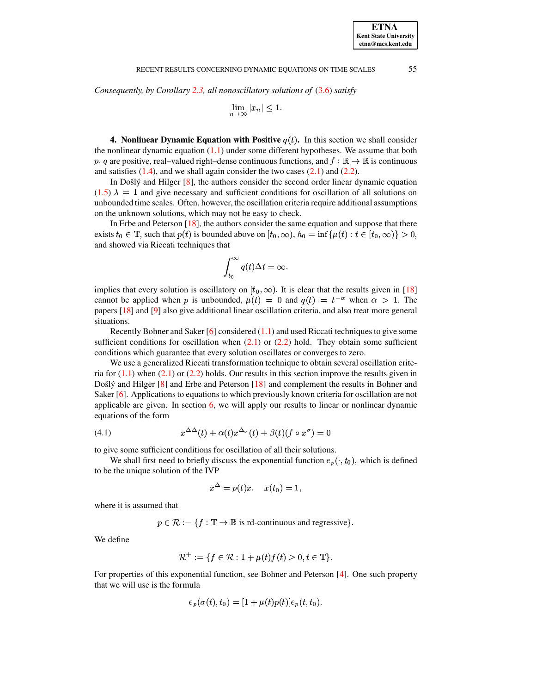*Consequently, by Corollary [2.3,](#page-2-5) all nonoscillatory solutions of* [\(3.6\)](#page-3-2) *satisfy*

$$
\lim_{n \to \infty} |x_n| \le 1.
$$

<span id="page-4-0"></span>**4. Nonlinear Dynamic Equation with Positive**  $q(t)$ . In this section we shall consider the nonlinear dynamic equation  $(1.1)$  under some different hypotheses. We assume that both p, q are positive, real–valued right–dense continuous functions, and  $f : \mathbb{R} \to \mathbb{R}$  is continuous and satisfies  $(1.4)$ , and we shall again consider the two cases  $(2.1)$  and  $(2.2)$ .

In Došlý and Hilger  $[8]$ , the authors consider the second order linear dynamic equation  $(1.5)$   $\lambda = 1$  and give necessary and sufficient conditions for oscillation of all solutions on unbounded time scales. Often, however, the oscillation criteria require additional assumptions on the unknown solutions, which may not be easy to check.

In Erbe and Peterson [\[18\]](#page-19-5), the authors consider the same equation and suppose that there exists  $t_0 \in \mathbb{T}$ , such that  $p(t)$  is bounded above on  $[t_0, \infty)$ ,  $h_0 = \inf \{ \mu(t) : t \in [t_0, \infty) \} > 0$ , and showed via Riccati techniques that

$$
\int_{t_0}^{\infty} q(t) \Delta t = \infty.
$$

implies that every solution is oscillatory on  $[t_0, \infty)$ . It is clear that the results given in [\[18\]](#page-19-5) cannot be applied when p is unbounded,  $\mu(t) = 0$  and  $q(t) = t^{-\alpha}$  when  $\alpha > 1$ . The papers [\[18\]](#page-19-5) and [\[9\]](#page-19-12) also give additional linear oscillation criteria, and also treat more general situations.

Recently Bohner and Saker  $[6]$  considered  $(1.1)$  and used Riccati techniques to give some sufficient conditions for oscillation when  $(2.1)$  or  $(2.2)$  hold. They obtain some sufficient conditions which guarantee that every solution oscillates or converges to zero.

We use a generalized Riccati transformation technique to obtain several oscillation criteria for  $(1.1)$  when  $(2.1)$  or  $(2.2)$  holds. Our results in this section improve the results given in Došlý and Hilger  $[8]$  and Erbe and Peterson  $[18]$  and complement the results in Bohner and Saker [\[6\]](#page-19-2). Applications to equations to which previously known criteria for oscillation are not applicable are given. In section [6,](#page-9-0) we will apply our results to linear or nonlinear dynamic equations of the form

<span id="page-4-1"></span>(4.1) 
$$
x^{\Delta\Delta}(t) + \alpha(t)x^{\Delta_{\sigma}}(t) + \beta(t)(f \circ x^{\sigma}) = 0
$$

to give some sufficient conditions for oscillation of all their solutions.

We shall first need to briefly discuss the exponential function  $e_p(\cdot, t_0)$ , which is defined to be the unique solution of the IVP

$$
x^\Delta=p(t)x,\quad x(t_0)=1,
$$

where it is assumed that

 $p \in \mathcal{R} := \{f : \mathbb{T} \to \mathbb{R} \text{ is rd-continuous and regressive}\}.$ 

We define

$$
\mathcal{R}^+ := \{ f \in \mathcal{R} : 1 + \mu(t) f(t) > 0, t \in \mathbb{T} \}.
$$

For properties of this exponential function, see Bohner and Peterson [\[4\]](#page-19-0). One such property that we will use is the formula

$$
e_p(\sigma(t), t_0) = [1 + \mu(t)p(t)]e_p(t, t_0).
$$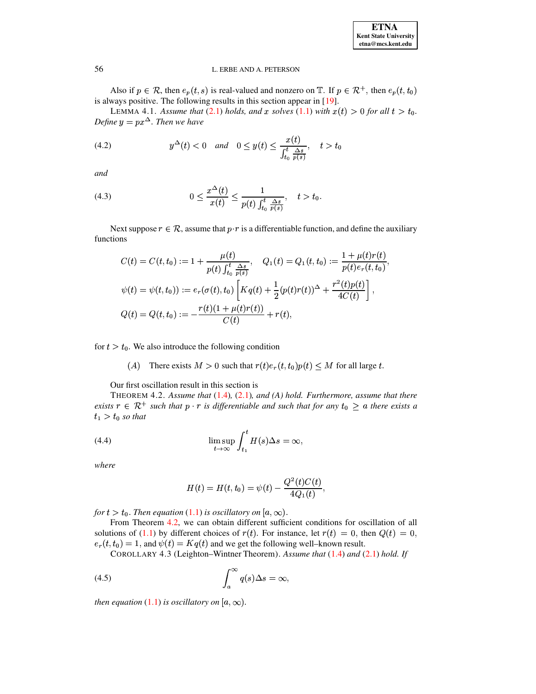| <b>ETNA</b>                  |
|------------------------------|
| <b>Kent State University</b> |
| etna@mcs.kent.edu            |

Also if  $p \in \mathcal{R}$ , then  $e_p(t, s)$  is real-valued and nonzero on  $\mathbb{T}$ . If  $p \in \mathcal{R}^+$ , then  $e_p(t, t_0)$ is always positive. The following results in this section appear in [19].

LEMMA 4.1. Assume that (2.1) holds, and x solves (1.1) with  $x(t) > 0$  for all  $t > t_0$ . Define  $y = px^{\Delta}$ . Then we have

$$
(4.2) \t y^{\Delta}(t) < 0 \quad and \quad 0 \le y(t) \le \frac{x(t)}{\int_{t_0}^t \frac{\Delta s}{p(s)}}, \quad t > t_0
$$

and

(4.3) 
$$
0 \le \frac{x^{\Delta}(t)}{x(t)} \le \frac{1}{p(t) \int_{t_0}^t \frac{\Delta s}{p(s)}}, \quad t > t_0.
$$

Next suppose  $r \in \mathcal{R}$ , assume that  $p \cdot r$  is a differentiable function, and define the auxiliary functions

$$
C(t) = C(t, t_0) := 1 + \frac{\mu(t)}{p(t) \int_{t_0}^t \frac{\Delta s}{p(s)}}, \quad Q_1(t) = Q_1(t, t_0) := \frac{1 + \mu(t)r(t)}{p(t)e_r(t, t_0)},
$$
  

$$
\psi(t) = \psi(t, t_0)) := e_r(\sigma(t), t_0) \left[ K q(t) + \frac{1}{2} (p(t)r(t))^{\Delta} + \frac{r^2(t)p(t)}{4C(t)} \right],
$$
  

$$
Q(t) = Q(t, t_0) := -\frac{r(t)(1 + \mu(t)r(t))}{C(t)} + r(t),
$$

for  $t > t_0$ . We also introduce the following condition

<span id="page-5-0"></span>(A) There exists  $M > 0$  such that  $r(t)e_r(t, t_0)p(t) \leq M$  for all large t.

Our first oscillation result in this section is

THEOREM 4.2. Assume that  $(1.4)$ ,  $(2.1)$ , and  $(A)$  hold. Furthermore, assume that there exists  $r \in \mathbb{R}^+$  such that  $p \cdot r$  is differentiable and such that for any  $t_0 \ge a$  there exists a  $t_1 > t_0$  so that

<span id="page-5-1"></span>(4.4) 
$$
\limsup_{t \to \infty} \int_{t_1}^t H(s) \Delta s = \infty,
$$

where

$$
H(t) = H(t, t_0) = \psi(t) - \frac{Q^2(t)C(t)}{4Q_1(t)},
$$

for  $t > t_0$ . Then equation (1.1) is oscillatory on [a,  $\infty$ ).

From Theorem 4.2, we can obtain different sufficient conditions for oscillation of all solutions of (1.1) by different choices of  $r(t)$ . For instance, let  $r(t) = 0$ , then  $Q(t) = 0$ ,  $e_r(t, t_0) = 1$ , and  $\psi(t) = Kq(t)$  and we get the following well–known result.

COROLLARY 4.3 (Leighton–Wintner Theorem). Assume that (1.4) and (2.1) hold. If

$$
\int_{a}^{\infty} q(s) \Delta s = \infty,
$$

then equation (1.1) is oscillatory on  $[a,\infty)$ .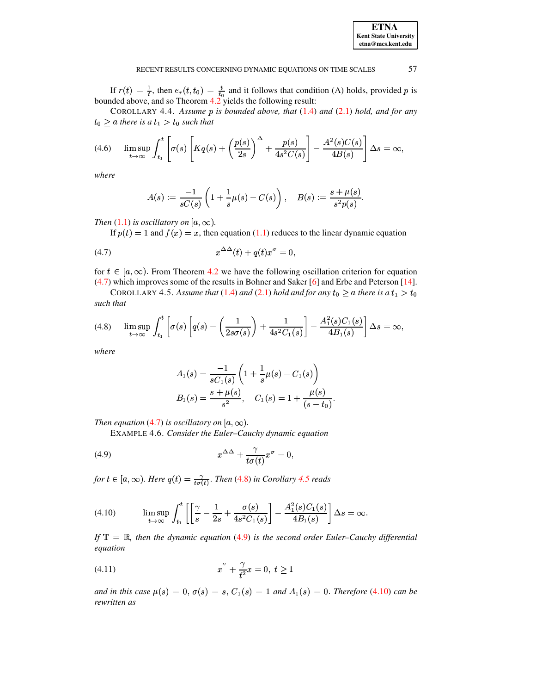<span id="page-6-0"></span>57

If  $r(t) = \frac{1}{t}$ , then  $e_r(t, t_0) = \frac{t}{t_0}$  and it follows that condition (A) holds, provided p is bounded above, and so Theorem 4.2 yields the following result:

<span id="page-6-6"></span>COROLLARY 4.4. Assume  $p$  is bounded above, that  $(1.4)$  and  $(2.1)$  hold, and for any  $t_0 \ge a$  there is a  $t_1 > t_0$  such that

$$
(4.6) \qquad \limsup_{t\to\infty}\int_{t_1}^t \left[\sigma(s)\left[Kq(s)+\left(\frac{p(s)}{2s}\right)^{\Delta}+\frac{p(s)}{4s^2C(s)}\right]-\frac{A^2(s)C(s)}{4B(s)}\right]\Delta s=\infty,
$$

where

$$
A(s) := \frac{-1}{sC(s)} \left( 1 + \frac{1}{s} \mu(s) - C(s) \right), \quad B(s) := \frac{s + \mu(s)}{s^2 p(s)}.
$$

Then (1.1) is oscillatory on  $[a, \infty)$ .

If  $p(t) = 1$  and  $f(x) = x$ , then equation (1.1) reduces to the linear dynamic equation

$$
(4.7) \t\t x^{\Delta\Delta}(t) + q(t)x^{\sigma} = 0
$$

for  $t \in [a, \infty)$ . From Theorem 4.2 we have the following oscillation criterion for equation  $(4.7)$  which improves some of the results in Bohner and Saker [6] and Erbe and Peterson [14].

<span id="page-6-2"></span><span id="page-6-1"></span>COROLLARY 4.5. Assume that (1.4) and (2.1) hold and for any  $t_0 \ge a$  there is a  $t_1 > t_0$ such that

$$
(4.8) \qquad \limsup_{t\to\infty}\int_{t_1}^t\left[\sigma(s)\left[q(s)-\left(\frac{1}{2s\sigma(s)}\right)+\frac{1}{4s^2C_1(s)}\right]-\frac{A_1^2(s)C_1(s)}{4B_1(s)}\right]\Delta s=\infty,
$$

where

<span id="page-6-3"></span>
$$
A_1(s) = \frac{-1}{sC_1(s)} \left( 1 + \frac{1}{s} \mu(s) - C_1(s) \right)
$$
  

$$
B_1(s) = \frac{s + \mu(s)}{s^2}, \quad C_1(s) = 1 + \frac{\mu(s)}{(s - t_0)}
$$

Then equation (4.7) is oscillatory on  $[a,\infty)$ .

EXAMPLE 4.6. Consider the Euler-Cauchy dynamic equation

(4.9) 
$$
x^{\Delta\Delta} + \frac{\gamma}{t\sigma(t)}x^{\sigma} = 0
$$

<span id="page-6-4"></span>for  $t \in [a, \infty)$ . Here  $q(t) = \frac{\gamma}{t\sigma(t)}$ . Then (4.8) in Corollary 4.5 reads

(4.10) 
$$
\limsup_{t \to \infty} \int_{t_1}^t \left[ \left[ \frac{\gamma}{s} - \frac{1}{2s} + \frac{\sigma(s)}{4s^2 C_1(s)} \right] - \frac{A_1^2(s) C_1(s)}{4B_1(s)} \right] \Delta s = \infty.
$$

<span id="page-6-5"></span>If  $\mathbb{T} = \mathbb{R}$ , then the dynamic equation (4.9) is the second order Euler-Cauchy differential equation

(4.11) 
$$
x'' + \frac{\gamma}{t^2}x = 0, \ t \ge 1
$$

and in this case  $\mu(s) = 0$ ,  $\sigma(s) = s$ ,  $C_1(s) = 1$  and  $A_1(s) = 0$ . Therefore (4.10) can be rewritten as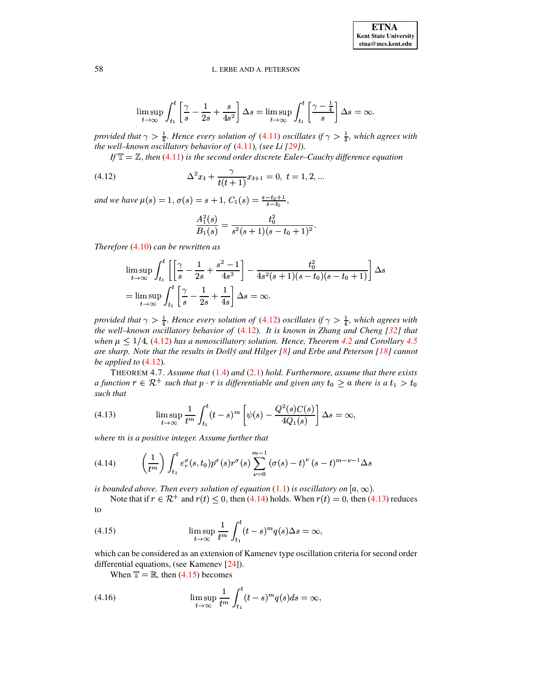$$
\limsup_{t \to \infty} \int_{t_1}^t \left[ \frac{\gamma}{s} - \frac{1}{2s} + \frac{s}{4s^2} \right] \Delta s = \limsup_{t \to \infty} \int_{t_1}^t \left[ \frac{\gamma - \frac{1}{4}}{s} \right] \Delta s = \infty
$$

provided that  $\gamma > \frac{1}{4}$ . Hence every solution of (4.11) oscillates if  $\gamma > \frac{1}{4}$ , which agrees with the well-known oscillatory behavior of  $(4.11)$ , (see Li  $[29]$ ).

If  $\mathbb{T} = \mathbb{Z}$ , then (4.11) is the second order discrete Euler-Cauchy difference equation

(4.12) 
$$
\Delta^2 x_t + \frac{\gamma}{t(t+1)} x_{t+1} = 0, \ t = 1, 2, ...
$$

and we have  $\mu(s) = 1, \sigma(s) = s + 1, C_1(s) = \frac{s - t_0 + 1}{s - t_0}$ 

<span id="page-7-0"></span>
$$
\frac{A_1^2(s)}{B_1(s)} = \frac{t_0^2}{s^2(s+1)(s-t_0+1)^2}.
$$

Therefore  $(4.10)$  can be rewritten as

$$
\limsup_{t \to \infty} \int_{t_1}^{t} \left[ \left[ \frac{\gamma}{s} - \frac{1}{2s} + \frac{s^2 - 1}{4s^3} \right] - \frac{t_0^2}{4s^2(s+1)(s-t_0)(s-t_0+1)} \right] \Delta s
$$
  
= 
$$
\limsup_{t \to \infty} \int_{t_1}^{t} \left[ \frac{\gamma}{s} - \frac{1}{2s} + \frac{1}{4s} \right] \Delta s = \infty.
$$

provided that  $\gamma > \frac{1}{4}$ . Hence every solution of (4.12) oscillates if  $\gamma > \frac{1}{4}$ , which agrees with the well-known oscillatory behavior of  $(4.12)$ . It is known in Zhang and Cheng  $[32]$  that when  $\mu \leq 1/4$ , (4.12) has a nonoscillatory solution. Hence, Theorem 4.2 and Corollary 4.5 are sharp. Note that the results in Došlý and Hilger [8] and Erbe and Peterson  $[18]$  cannot be applied to  $(4.12)$ .

THEOREM 4.7. Assume that  $(1.4)$  and  $(2.1)$  hold. Furthermore, assume that there exists a function  $r \in \mathcal{R}^+$  such that  $p \cdot r$  is differentiable and given any  $t_0 \ge a$  there is a  $t_1 > t_0$ such that

<span id="page-7-2"></span>(4.13) 
$$
\limsup_{t \to \infty} \frac{1}{t^m} \int_{t_1}^t (t-s)^m \left[ \psi(s) - \frac{Q^2(s)C(s)}{4Q_1(s)} \right] \Delta s = \infty,
$$

where  $m$  is a positive integer. Assume further that

<span id="page-7-1"></span>(4.14) 
$$
\left(\frac{1}{t^m}\right) \int_{t_1}^t e_r^{\sigma}(s,t_0) p^{\sigma}(s) r^{\sigma}(s) \sum_{\nu=0}^{m-1} (\sigma(s) - t)^{\nu} (s-t)^{m-\nu-1} \Delta s
$$

is bounded above. Then every solution of equation (1.1) is oscillatory on  $[a,\infty)$ .

<span id="page-7-3"></span>Note that if  $r \in \mathbb{R}^+$  and  $r(t) \leq 0$ , then (4.14) holds. When  $r(t) = 0$ , then (4.13) reduces to

(4.15) 
$$
\limsup_{t \to \infty} \frac{1}{t^m} \int_{t_1}^t (t-s)^m q(s) \Delta s = \infty,
$$

which can be considered as an extension of Kamenev type oscillation criteria for second order differential equations, (see Kamenev [24]).

When  $\mathbb{T} = \mathbb{R}$ , then (4.15) becomes

(4.16) 
$$
\limsup_{t \to \infty} \frac{1}{t^m} \int_{t_1}^t (t-s)^m q(s) ds = \infty,
$$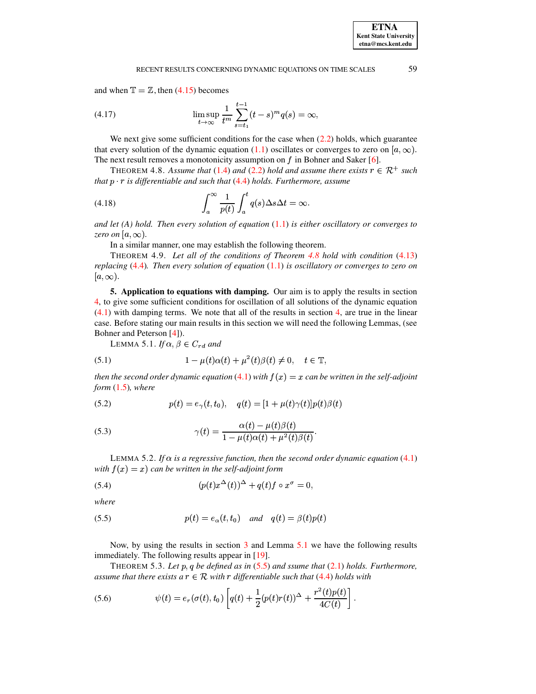and when  $\mathbb{T} = \mathbb{Z}$ , then (4.15) becomes

(4.17) 
$$
\limsup_{t \to \infty} \frac{1}{t^m} \sum_{s=t_1}^{t-1} (t-s)^m q(s) = \infty,
$$

We next give some sufficient conditions for the case when  $(2.2)$  holds, which guarantee that every solution of the dynamic equation (1.1) oscillates or converges to zero on  $[a, \infty)$ . The next result removes a monotonicity assumption on  $f$  in Bohner and Saker [6].

<span id="page-8-1"></span>THEOREM 4.8. Assume that (1.4) and (2.2) hold and assume there exists  $r \in \mathbb{R}^+$  such that  $p \cdot r$  is differentiable and such that (4.4) holds. Furthermore, assume

(4.18) 
$$
\int_{a}^{\infty} \frac{1}{p(t)} \int_{a}^{t} q(s) \Delta s \Delta t = \infty.
$$

and let  $(A)$  hold. Then every solution of equation  $(1.1)$  is either oscillatory or converges to zero on [ $a, \infty$ ).

<span id="page-8-6"></span>In a similar manner, one may establish the following theorem.

THEOREM 4.9. Let all of the conditions of Theorem 4.8 hold with condition (4.13) replacing  $(4.4)$ . Then every solution of equation  $(1.1)$  is oscillatory or converges to zero on  $[a,\infty).$ 

<span id="page-8-0"></span>5. Application to equations with damping. Our aim is to apply the results in section 4, to give some sufficient conditions for oscillation of all solutions of the dynamic equation  $(4.1)$  with damping terms. We note that all of the results in section 4, are true in the linear case. Before stating our main results in this section we will need the following Lemmas, (see Bohner and Peterson [4]).

LEMMA 5.1. If  $\alpha, \beta \in C_{rd}$  and

<span id="page-8-2"></span>(5.1) 
$$
1 - \mu(t)\alpha(t) + \mu^2(t)\beta(t) \neq 0, \quad t \in \mathbb{T},
$$

then the second order dynamic equation (4.1) with  $f(x) = x$  can be written in the self-adjoint form  $(1.5)$ , where

(5.2) 
$$
p(t) = e_{\gamma}(t, t_0), \quad q(t) = [1 + \mu(t)\gamma(t)]p(t)\beta(t)
$$

(5.3) 
$$
\gamma(t) = \frac{\alpha(t) - \mu(t)\beta(t)}{1 - \mu(t)\alpha(t) + \mu^2(t)\beta(t)}.
$$

LEMMA 5.2. If  $\alpha$  is a regressive function, then the second order dynamic equation (4.1) with  $f(x) = x$  can be written in the self-adjoint form

(5.4) 
$$
(p(t)x^{\Delta}(t))^{\Delta} + q(t)f \circ x^{\sigma} = 0,
$$

<span id="page-8-3"></span>where

(5.5) 
$$
p(t) = e_{\alpha}(t, t_0) \quad and \quad q(t) = \beta(t)p(t)
$$

<span id="page-8-5"></span>Now, by using the results in section  $3$  and Lemma  $5.1$  we have the following results immediately. The following results appear in [19].

THEOREM 5.3. Let p, q be defined as in  $(5.5)$  and ssume that  $(2.1)$  holds. Furthermore, assume that there exists a  $r \in \mathcal{R}$  with r differentiable such that (4.4) holds with

<span id="page-8-4"></span>(5.6) 
$$
\psi(t) = e_r(\sigma(t), t_0) \left[ q(t) + \frac{1}{2} (p(t)r(t))^{\Delta} + \frac{r^2(t)p(t)}{4C(t)} \right].
$$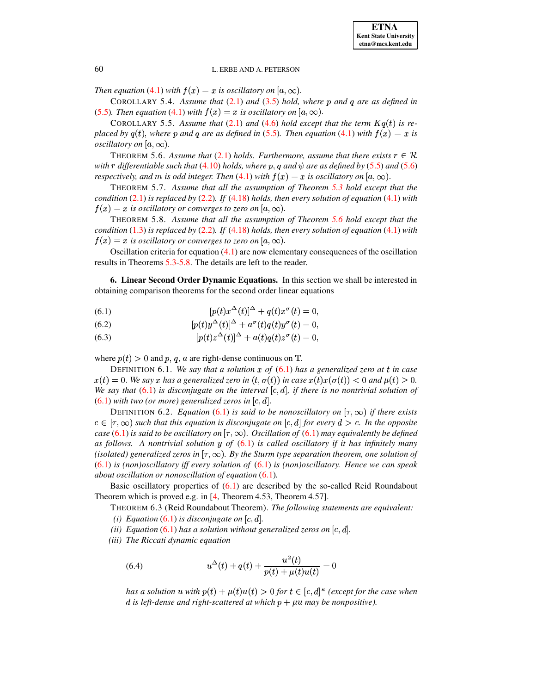*Then equation* [\(4.1\)](#page-4-1) *with*  $f(x) = x$  *is oscillatory on*  $[a, \infty)$ .

COROLLARY 5.4. Assume that  $(2.1)$  and  $(3.5)$  hold, where p and q are as defined in [\(5.5\)](#page-8-3). Then equation [\(4.1\)](#page-4-1) with  $f(x) = x$  is oscillatory on  $[a, \infty)$ .

COROLLARY 5.5. Assume that  $(2.1)$  and  $(4.6)$  hold except that the term  $Kq(t)$  is re*placed* by  $q(t)$ , where p and q are as defined in [\(5.5\)](#page-8-3). Then equation [\(4.1\)](#page-4-1) with  $f(x) = x$  is *oscillatory on*  $[a,\infty)$ .

<span id="page-9-1"></span>THEOREM 5.6. Assume that [\(2.1\)](#page-1-2) holds. Furthermore, assume that there exists  $r \in \mathcal{R}$ *with*  $r$  *differentiable such that* [\(4.10\)](#page-6-4) *holds, where*  $p$ ,  $q$  *and*  $\psi$  *are as defined by* [\(5.5\)](#page-8-3) *and* [\(5.6\)](#page-8-4) *respectively, and*  $m$  *is odd integer. Then* [\(4.1\)](#page-4-1) *with*  $f(x) = x$  *is oscillatory on*  $[a, \infty)$ .

THEOREM 5.7. *Assume that all the assumption of Theorem [5.3](#page-8-5) hold except that the condition* [\(2.1\)](#page-1-2) *is replaced by* [\(2.2\)](#page-1-4)*. If* [\(4.18\)](#page-8-6) *holds, then every solution of equation* [\(4.1\)](#page-4-1) *with*  $f(x) = x$  is oscillatory or converges to zero on  $[a,\infty).$ 

<span id="page-9-2"></span>THEOREM 5.8. *Assume that all the assumption of Theorem [5.6](#page-9-1) hold except that the condition* [\(1.3\)](#page-0-2) *is replaced by* [\(2.2\)](#page-1-4)*. If* [\(4.18\)](#page-8-6) *holds, then every solution of equation* [\(4.1\)](#page-4-1) *with*  $f(x) = x$  is oscillatory or converges to zero on  $[a,\infty)$ .

Oscillation criteria for equation [\(4.1\)](#page-4-1) are now elementary consequences of the oscillation results in Theorems [5.3](#page-8-5)[-5.8.](#page-9-2) The details are left to the reader.

<span id="page-9-0"></span>**6. Linear Second Order Dynamic Equations.** In this section we shall be interested in obtaining comparison theorems for the second order linear equations

<span id="page-9-3"></span>(6.1) 
$$
[p(t)x^{\Delta}(t)]^{\Delta} + q(t)x^{\sigma}(t) = 0,
$$

(6.2) 
$$
[p(t)y^{\Delta}(t)]^{\Delta} + a^{\sigma}(t)q(t)y^{\sigma}(t) = 0,
$$

(6.3) 
$$
[p(t)z^{\Delta}(t)]^{\Delta} + a(t)q(t)z^{\sigma}(t) = 0,
$$

where  $p(t) > 0$  and p, q, a are right-dense continuous on  $\mathbb{T}$ .

DEFINITION 6.1. *We say that a solution of* [\(6.1\)](#page-9-3) *has a generalized zero at in case*  $x(t) = 0$ . We say x has a generalized zero in  $(t, \sigma(t))$  in case  $x(t)x(\sigma(t)) < 0$  and  $\mu(t) > 0$ . *We* say that  $(6.1)$  *is disconjugate on the interval*  $[c, d]$ *, if there is no nontrivial solution of*  $(6.1)$  *with two (or more) generalized zeros in*  $[c, d]$ .

DEFINITION 6.2. *Equation* [\(6.1\)](#page-9-3) *is said to be nonoscillatory on*  $[\tau, \infty)$  *if there exists*  $c \in [\tau, \infty)$  such that this equation is disconjugate on  $[c, d]$  for every  $d > c$ . In the opposite *case* [\(6.1\)](#page-9-3) *is said to be oscillatory on*  $[\tau, \infty)$ *. Oscillation of* (6.1) *may equivalently be defined as follows. A nontrivial solution* <sup>Ú</sup> *of* [\(6.1\)](#page-9-3) *is called oscillatory if it has infinitely many* (isolated) generalized zeros in  $[\tau, \infty)$ . By the Sturm type separation theorem, one solution of [\(6.1\)](#page-9-3) *is (non)oscillatory iff every solution of* [\(6.1\)](#page-9-3) *is (non)oscillatory. Hence we can speak about oscillation or nonoscillation of equation* [\(6.1\)](#page-9-3)*.*

<span id="page-9-4"></span>Basic oscillatory properties of [\(6.1\)](#page-9-3) are described by the so-called Reid Roundabout Theorem which is proved e.g. in [\[4,](#page-19-0) Theorem 4.53, Theorem 4.57].

THEOREM 6.3 (Reid Roundabout Theorem). *The following statements are equivalent: (i) Equation* [\(6.1\)](#page-9-3) *is disconjugate on*  $[c, d]$ .

*(ii) Equation* [\(6.1\)](#page-9-3) *has a solution without generalized zeros on*  $[c, d]$ .

*(iii) The Riccati dynamic equation*

(6.4) 
$$
u^{\Delta}(t) + q(t) + \frac{u^2(t)}{p(t) + \mu(t)u(t)} = 0
$$

 $\int$  *has a* solution  $u$  with  $p(t) + \mu(t)u(t) > 0$  for  $t \in [c, d]^{\kappa}$  (except for the case when *d* is left-dense and right-scattered at which  $p + \mu u$  may be nonpositive).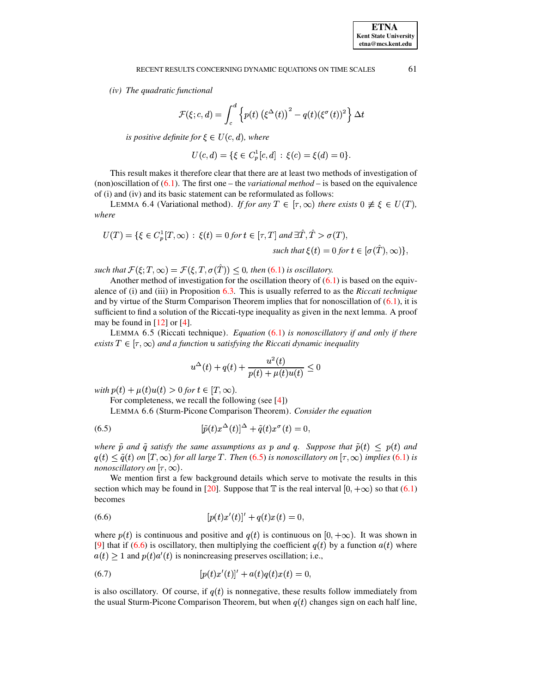(iv) The quadratic functional

$$
\mathcal{F}(\xi; c, d) = \int_c^d \left\{ p(t) \left( \xi^{\Delta}(t) \right)^2 - q(t) (\xi^{\sigma}(t))^2 \right\} \Delta t
$$

is positive definite for  $\xi \in U(c,d)$ , where

$$
U(c,d) = \{ \xi \in C_n^1[c,d] : \xi(c) = \xi(d) = 0 \}.
$$

This result makes it therefore clear that there are at least two methods of investigation of (non)oscillation of  $(6.1)$ . The first one – the *variational method* – is based on the equivalence of (i) and (iv) and its basic statement can be reformulated as follows:

LEMMA 6.4 (Variational method). If for any  $T \in [\tau, \infty)$  there exists  $0 \neq \xi \in U(T)$ , where

$$
U(T) = \{ \xi \in C_p^1[T, \infty) : \xi(t) = 0 \text{ for } t \in [\tau, T] \text{ and } \exists \hat{T}, \hat{T} > \sigma(T),
$$
  
such that  $\xi(t) = 0 \text{ for } t \in [\sigma(\hat{T}), \infty) \},$ 

such that  $\mathcal{F}(\xi;T,\infty) = \mathcal{F}(\xi,T,\sigma(\hat{T})) \leq 0$ , then (6.1) is oscillatory.

Another method of investigation for the oscillation theory of  $(6.1)$  is based on the equivalence of (i) and (iii) in Proposition  $6.3$ . This is usually referred to as the Riccati technique and by virtue of the Sturm Comparison Theorem implies that for nonoscillation of  $(6.1)$ , it is sufficient to find a solution of the Riccati-type inequality as given in the next lemma. A proof may be found in  $[12]$  or  $[4]$ .

LEMMA 6.5 (Riccati technique). *Equation*  $(6.1)$  is nonoscillatory if and only if there exists  $T \in [\tau, \infty)$  and a function u satisfying the Riccati dynamic inequality

<span id="page-10-0"></span>
$$
u^{\Delta}(t) + q(t) + \frac{u^{2}(t)}{p(t) + \mu(t)u(t)} \le 0
$$

with  $p(t) + \mu(t)u(t) > 0$  for  $t \in [T, \infty)$ .

For completeness, we recall the following (see  $[4]$ )

LEMMA 6.6 (Sturm-Picone Comparison Theorem). Consider the equation

(6.5) 
$$
[\tilde{p}(t)x^{\Delta}(t)]^{\Delta} + \tilde{q}(t)x^{\sigma}(t) = 0
$$

where  $\tilde{p}$  and  $\tilde{q}$  satisfy the same assumptions as p and q. Suppose that  $\tilde{p}(t) \leq p(t)$  and  $q(t) \leq \tilde{q}(t)$  on  $[T, \infty)$  for all large T. Then (6.5) is nonoscillatory on  $[\tau, \infty)$  implies (6.1) is *nonoscillatory on*  $[\tau, \infty)$ .

We mention first a few background details which serve to motivate the results in this section which may be found in [20]. Suppose that  $\mathbb T$  is the real interval  $[0, +\infty)$  so that (6.1) becomes

<span id="page-10-1"></span>(6.6) 
$$
[p(t)x'(t)]' + q(t)x(t) = 0,
$$

where  $p(t)$  is continuous and positive and  $q(t)$  is continuous on [0, + $\infty$ ). It was shown in [9] that if (6.6) is oscillatory, then multiplying the coefficient  $q(t)$  by a function  $a(t)$  where  $a(t) \ge 1$  and  $p(t)a'(t)$  is nonincreasing preserves oscillation; i.e.,

<span id="page-10-2"></span>(6.7) 
$$
[p(t)x'(t)]' + a(t)q(t)x(t) = 0,
$$

is also oscillatory. Of course, if  $q(t)$  is nonnegative, these results follow immediately from the usual Sturm-Picone Comparison Theorem, but when  $q(t)$  changes sign on each half line,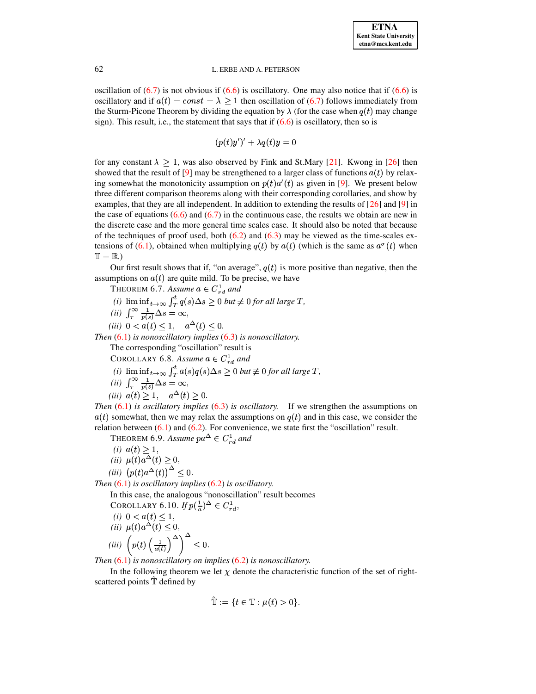oscillation of  $(6.7)$  is not obvious if  $(6.6)$  is oscillatory. One may also notice that if  $(6.6)$  is oscillatory and if  $a(t) = const = \lambda \ge 1$  then oscillation of (6.7) follows immediately from the Sturm-Picone Theorem by dividing the equation by  $\lambda$  (for the case when  $q(t)$  may change sign). This result, i.e., the statement that says that if  $(6.6)$  is oscillatory, then so is

 $(p(t)y')' + \lambda q(t)y = 0$ 

for any constant  $\lambda > 1$ , was also observed by Fink and St.Mary [21]. Kwong in [26] then showed that the result of [9] may be strengthened to a larger class of functions  $a(t)$  by relaxing somewhat the monotonicity assumption on  $p(t)a'(t)$  as given in [9]. We present below three different comparison theorems along with their corresponding corollaries, and show by examples, that they are all independent. In addition to extending the results of  $[26]$  and  $[9]$  in the case of equations  $(6.6)$  and  $(6.7)$  in the continuous case, the results we obtain are new in the discrete case and the more general time scales case. It should also be noted that because of the techniques of proof used, both  $(6.2)$  and  $(6.3)$  may be viewed as the time-scales extensions of (6.1), obtained when multiplying  $q(t)$  by  $a(t)$  (which is the same as  $a^{\sigma}(t)$  when  $T = R$ .)

Our first result shows that if, "on average",  $q(t)$  is more positive than negative, then the assumptions on  $a(t)$  are quite mild. To be precise, we have

THEOREM 6.7. Assume  $a \in C_{rd}^1$  and (i)  $\liminf_{t\to\infty} \int_T^t q(s) \Delta s \ge 0$  but  $\not\equiv 0$  for all large T,<br>(ii)  $\int_T^\infty \frac{1}{p(s)} \Delta s = \infty$ ,

- <span id="page-11-1"></span>
- (*iii*)  $0 < a(t) \leq 1$ ,  $a^{\Delta}(t) \leq 0$ .

<span id="page-11-3"></span>Then  $(6.1)$  is nonoscillatory implies  $(6.3)$  is nonoscillatory.

The corresponding "oscillation" result is

COROLLARY 6.8. Assume  $a \in C_{rd}^1$  and

- (i)  $\liminf_{t\to\infty} \int_T^t a(s)q(s)\Delta s \ge 0$  *but*  $\not\equiv 0$  *for all large T*,<br>(*ii*)  $\int_{\tau}^{\infty} \frac{1}{p(s)} \Delta s = \infty$ ,
- 

$$
(iii) \ \ a(t) \ge 1, \quad a^{\Delta}(t) \ge 0.
$$

<span id="page-11-2"></span>Then  $(6.1)$  is oscillatory implies  $(6.3)$  is oscillatory. If we strengthen the assumptions on  $a(t)$  somewhat, then we may relax the assumptions on  $q(t)$  and in this case, we consider the relation between  $(6.1)$  and  $(6.2)$ . For convenience, we state first the "oscillation" result.

THEOREM 6.9. Assume  $pa^{\Delta} \in C_{rd}^{1}$  and

(*i*) 
$$
a(t) \ge 1
$$
,  
\n(*ii*)  $\mu(t)a^{\Delta}(t) \ge 0$ ,  
\n(*iii*)  $(p(t)a^{\Delta}(t))^{\Delta} \le 0$ .

<span id="page-11-0"></span>Then  $(6.1)$  is oscillatory implies  $(6.2)$  is oscillatory.

In this case, the analogous "nonoscillation" result becomes

COROLLARY 6.10. If 
$$
p(\frac{1}{a})^{\Delta} \in C_{rd}^1
$$
,  
\n(i)  $0 < a(t) \le 1$ ,  
\n(ii)  $\mu(t)a^{\Delta}(t) \le 0$ ,  
\n(iii)  $\left(p(t) \left(\frac{1}{a(t)}\right)^{\Delta}\right)^{\Delta} \le 0$ .

Then  $(6.1)$  is nonoscillatory on implies  $(6.2)$  is nonoscillatory.

In the following theorem we let  $\chi$  denote the characteristic function of the set of rightscattered points T defined by

$$
\mathbb{T} := \{ t \in \mathbb{T} : \mu(t) > 0 \}.
$$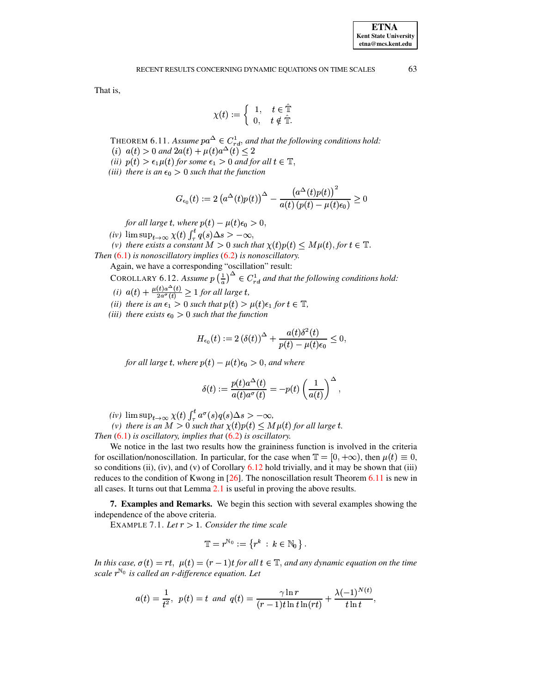<span id="page-12-2"></span>That is,

$$
\chi(t) := \begin{cases} 1, & t \in \hat{\mathbb{T}} \\ 0, & t \notin \hat{\mathbb{T}}. \end{cases}
$$

THEOREM 6.11. Assume  $pa^{\Delta} \in C_{rd}^1$ , and that the following conditions hold: (i)  $a(t) > 0$  and  $2a(t) + \mu(t)a^{\Delta}(t) \leq 2$ 

- (ii)  $p(t) > \epsilon_1 \mu(t)$  for some  $\epsilon_1 > 0$  and for all  $t \in \mathbb{T}$ ,
- (iii) there is an  $\epsilon_0 > 0$  such that the function

$$
G_{\epsilon_0}(t) := 2 \left( a^{\Delta}(t) p(t) \right)^{\Delta} - \frac{\left( a^{\Delta}(t) p(t) \right)^2}{a(t) \left( p(t) - \mu(t) \epsilon_0 \right)} \ge 0
$$

for all large t, where  $p(t) - \mu(t)\epsilon_0 > 0$ ,

(iv)  $\limsup_{t\to\infty} \chi(t) \int_{\tau}^{t} q(s) \Delta s > -\infty$ ,

(v) there exists a constant  $M > 0$  such that  $\chi(t)p(t) \leq M\mu(t)$ , for  $t \in \mathbb{T}$ .

<span id="page-12-1"></span>Then  $(6.1)$  is nonoscillatory implies  $(6.2)$  is nonoscillatory.

Again, we have a corresponding "oscillation" result:

COROLLARY 6.12. Assume  $p\left(\frac{1}{a}\right)^{\Delta} \in C_{rd}^{1}$  and that the following conditions hold:<br>(i)  $a(t) + \frac{\mu(t)a^{\Delta}(t)}{2a^{\sigma}(t)} \ge 1$  for all large t,

- 
- (ii) there is an  $\epsilon_1 > 0$  such that  $p(t) > \mu(t)\epsilon_1$  for  $t \in \mathbb{T}$ ,
- (iii) there exists  $\epsilon_0 > 0$  such that the function

$$
H_{\epsilon_0}(t) := 2 \left(\delta(t)\right)^{\Delta} + \frac{a(t)\delta^2(t)}{p(t) - \mu(t)\epsilon_0} \leq 0,
$$

for all large t, where  $p(t) - \mu(t)\epsilon_0 > 0$ , and where

$$
\delta(t) := \frac{p(t)a^{\Delta}(t)}{a(t)a^{\sigma}(t)} = -p(t)\left(\frac{1}{a(t)}\right)^{\Delta},
$$

(iv)  $\limsup_{t\to\infty}\chi(t)\int_{\tau}^{t}a^{\sigma}(s)q(s)\Delta s > -\infty$ ,

(v) there is an  $M > 0$  such that  $\chi(t)p(t) \leq M\mu(t)$  for all large t.

Then  $(6.1)$  is oscillatory, implies that  $(6.2)$  is oscillatory.

We notice in the last two results how the graininess function is involved in the criteria for oscillation/nonoscillation. In particular, for the case when  $\mathbb{T} = [0, +\infty)$ , then  $\mu(t) \equiv 0$ , so conditions (ii), (iv), and (v) of Corollary  $6.12$  hold trivially, and it may be shown that (iii) reduces to the condition of Kwong in [26]. The nonoscillation result Theorem 6.11 is new in all cases. It turns out that Lemma  $2.1$  is useful in proving the above results.

<span id="page-12-0"></span>**7. Examples and Remarks.** We begin this section with several examples showing the independence of the above criteria.

EXAMPLE 7.1. Let  $r > 1$ . Consider the time scale

$$
\mathbb{T}=r^{\mathbb{N}_0}:=\left\{r^k\,:\,k\in\mathbb{N}_0\,\right\}.
$$

In this case,  $\sigma(t) = rt$ ,  $\mu(t) = (r-1)t$  for all  $t \in \mathbb{T}$ , and any dynamic equation on the time scale  $r^{\mathbb{N}_0}$  is called an r-difference equation. Let

$$
a(t) = \frac{1}{t^2}, \ \ p(t) = t \ \ and \ \ q(t) = \frac{\gamma \ln r}{(r-1)t \ln t \ln(rt)} + \frac{\lambda (-1)^{N(t)}}{t \ln t},
$$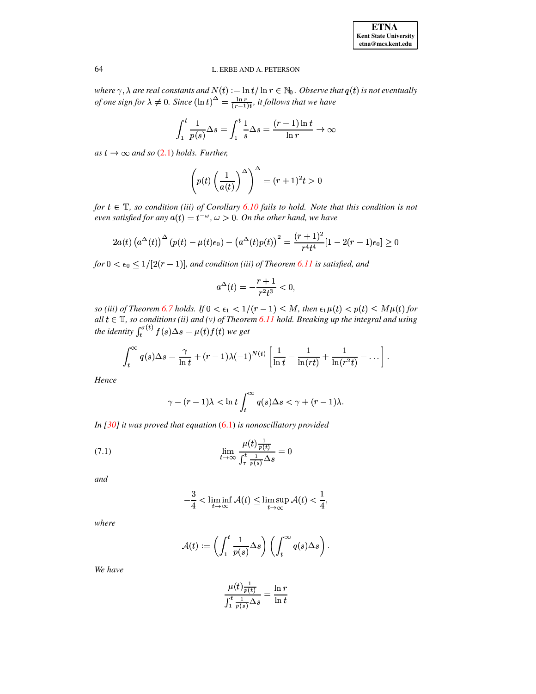where  $\gamma$ ,  $\lambda$  are real constants and  $N(t) := \ln t / \ln r \in \mathbb{N}_0$ . Observe that  $q(t)$  is not eventually of one sign for  $\lambda \neq 0$ . Since  $(\ln t)^{\Delta} = \frac{\ln r}{(r-1)t}$ , it follows that we have

$$
\int_{1}^{t} \frac{1}{p(s)} \Delta s = \int_{1}^{t} \frac{1}{s} \Delta s = \frac{(r-1)\ln t}{\ln r} \to \infty
$$

as  $t \to \infty$  and so (2.1) holds. Further,

$$
\left(p(t)\left(\frac{1}{a(t)}\right)^{\Delta}\right)^{\Delta} = (r+1)^2 t > 0
$$

for  $t \in \mathbb{T}$ , so condition (iii) of Corollary 6.10 fails to hold. Note that this condition is not even satisfied for any  $a(t) = t^{-\omega}$ ,  $\omega > 0$ . On the other hand, we have

$$
2a(t) (a^{\Delta}(t))^{\Delta}(p(t) - \mu(t)\epsilon_0) - (a^{\Delta}(t)p(t))^2 = \frac{(r+1)^2}{r^4t^4}[1 - 2(r-1)\epsilon_0] \ge 0
$$

for  $0 < \epsilon_0 \leq 1/[2(r-1)]$ , and condition (iii) of Theorem 6.11 is satisfied, and

$$
a^{\Delta}(t) = -\frac{r+1}{r^2t^3} < 0,
$$

so (iii) of Theorem 6.7 holds. If  $0 < \epsilon_1 < 1/(r-1) \leq M$ , then  $\epsilon_1 \mu(t) < p(t) \leq M\mu(t)$  for all  $t \in \mathbb{T}$ , so conditions (ii) and (v) of Theorem 6.11 hold. Breaking up the integral and using<br>the identity  $\int_t^{\sigma(t)} f(s) \Delta s = \mu(t) f(t)$  we get

$$
\int_t^{\infty} q(s) \Delta s = \frac{\gamma}{\ln t} + (r-1)\lambda (-1)^{N(t)} \left[ \frac{1}{\ln t} - \frac{1}{\ln (rt)} + \frac{1}{\ln (r^2 t)} - \dots \right].
$$

Hence

<span id="page-13-0"></span>
$$
\gamma - (r-1)\lambda < \ln t \int_t^\infty q(s) \Delta s < \gamma + (r-1)\lambda.
$$

In [30] it was proved that equation  $(6.1)$  is nonoscillatory provided

(7.1) 
$$
\lim_{t \to \infty} \frac{\mu(t) \frac{1}{p(t)}}{\int_{\tau}^{t} \frac{1}{p(s)} \Delta s} = 0
$$

and

$$
-\frac{3}{4} < \liminf_{t \to \infty} \mathcal{A}(t) \le \limsup_{t \to \infty} \mathcal{A}(t) < \frac{1}{4},
$$

where

$$
\mathcal{A}(t) := \left( \int_1^t \frac{1}{p(s)} \Delta s \right) \left( \int_t^\infty q(s) \Delta s \right)
$$

We have

$$
\frac{\mu(t)\frac{1}{p(t)}}{\int_1^t \frac{1}{p(s)}\Delta s} = \frac{\ln r}{\ln t}
$$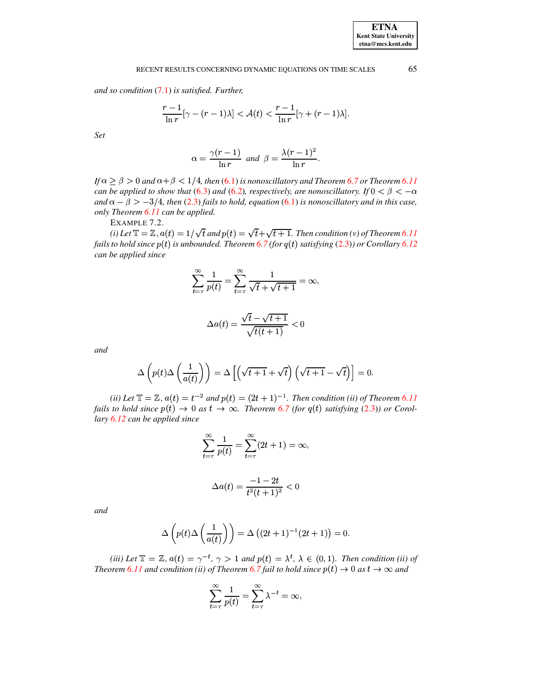and so condition  $(7.1)$  is satisfied. Further,

$$
\frac{r-1}{\ln r}[\gamma - (r-1)\lambda] < \mathcal{A}(t) < \frac{r-1}{\ln r}[\gamma + (r-1)\lambda].
$$

Set

$$
\alpha = \frac{\gamma(r-1)}{\ln r} \text{ and } \beta = \frac{\lambda(r-1)^2}{\ln r}.
$$

If  $\alpha \ge \beta > 0$  and  $\alpha + \beta < 1/4$ , then (6.1) is nonoscillatory and Theorem 6.7 or Theorem 6.11 can be applied to show that (6.3) and (6.2), respectively, are nonoscillatory. If  $0 < \beta < -\alpha$ and  $\alpha - \beta > -3/4$ , then (2.3) fails to hold, equation (6.1) is nonoscillatory and in this case, only Theorem 6.11 can be applied.

EXAMPLE 7.2.

(i) Let  $\mathbb{T} = \mathbb{Z}$ ,  $a(t) = 1/\sqrt{t}$  and  $p(t) = \sqrt{t} + \sqrt{t+1}$ . Then condition (v) of Theorem 6.11 fails to hold since  $p(t)$  is unbounded. Theorem 6.7 (for  $q(t)$  satisfying (2.3)) or Corollary 6.12 can be applied since

$$
\sum_{t=\tau}^{\infty} \frac{1}{p(t)} = \sum_{t=\tau}^{\infty} \frac{1}{\sqrt{t} + \sqrt{t+1}} = \infty,
$$

$$
\Delta a(t) = \frac{\sqrt{t} - \sqrt{t+1}}{\sqrt{t(t+1)}} < 0
$$

and

$$
\Delta\left(p(t)\Delta\left(\frac{1}{a(t)}\right)\right) = \Delta\left[\left(\sqrt{t+1} + \sqrt{t}\right)\left(\sqrt{t+1} - \sqrt{t}\right)\right] = 0.
$$

(ii) Let  $\mathbb{T} = \mathbb{Z}$ ,  $a(t) = t^{-2}$  and  $p(t) = (2t + 1)^{-1}$ . Then condition (ii) of Theorem 6.11 fails to hold since  $p(t) \rightarrow 0$  as  $t \rightarrow \infty$ . Theorem 6.7 (for  $q(t)$  satisfying (2.3)) or Corollary 6.12 can be applied since

$$
\sum_{t=\tau}^{\infty} \frac{1}{p(t)} = \sum_{t=\tau}^{\infty} (2t+1) = \infty,
$$

$$
\Delta a(t) = \frac{-1 - 2t}{t^2(t+1)^2} < 0
$$

and

$$
\Delta\left(p(t)\Delta\left(\frac{1}{a(t)}\right)\right) = \Delta\left((2t+1)^{-1}(2t+1)\right) = 0.
$$

(iii) Let  $\mathbb{T} = \mathbb{Z}$ ,  $a(t) = \gamma^{-t}$ ,  $\gamma > 1$  and  $p(t) = \lambda^t$ ,  $\lambda \in (0,1)$ . Then condition (ii) of Theorem 6.11 and condition (ii) of Theorem 6.7 fail to hold since  $p(t) \rightarrow 0$  as  $t \rightarrow \infty$  and

$$
\sum_{t=\tau}^{\infty} \frac{1}{p(t)} = \sum_{t=\tau}^{\infty} \lambda^{-t} = \infty,
$$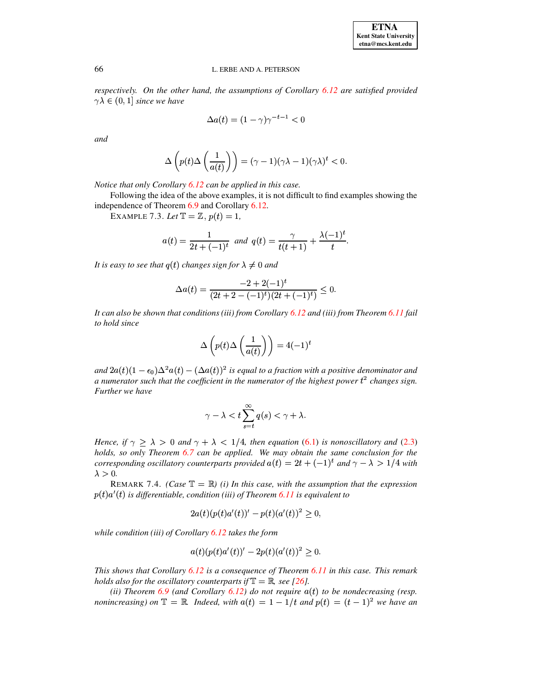*respectively. On the other hand, the assumptions of Corollary [6.12](#page-12-1) are satisfied provided*  $\gamma \lambda \in (0,1]$  since we have

$$
\Delta a(t) = (1 - \gamma)\gamma^{-t-1} < 0
$$

*and*

$$
\Delta\left(p(t)\Delta\left(\frac{1}{a(t)}\right)\right)=(\gamma-1)(\gamma\lambda-1)(\gamma\lambda)^t<0.
$$

*Notice that only Corollary [6.12](#page-12-1) can be applied in this case.*

Following the idea of the above examples, it is not difficult to find examples showing the independence of Theorem [6.9](#page-11-2) and Corollary [6.12.](#page-12-1)

EXAMPLE 7.3. Let  $\mathbb{T} = \mathbb{Z}$ ,  $p(t) = 1$ ,

$$
a(t) = \frac{1}{2t + (-1)^t} \text{ and } q(t) = \frac{\gamma}{t(t+1)} + \frac{\lambda(-1)^t}{t}.
$$

It is easy to see that  $q(t)$  changes sign for  $\lambda \neq 0$  and

$$
\Delta a(t) = \frac{-2 + 2(-1)^t}{(2t + 2 - (-1)^t)(2t + (-1)^t)} \leq 0.
$$

*It can also be shown that conditions (iii) from Corollary [6.12](#page-12-1) and (iii) from Theorem [6.11](#page-12-2) fail to hold since*

$$
\Delta\left(p(t)\Delta\left(\frac{1}{a(t)}\right)\right) = 4(-1)^t
$$

 $\int \tan^2 2a(t)(1-\epsilon_0)\Delta^2a(t)-(\Delta a(t))^2$  is equal to a fraction with a positive denominator and *a numerator such that the coefficient in the numerator of the highest power* <sup>k</sup> *changes sign. Further we have*

$$
\gamma - \lambda < t \sum_{s=t}^{\infty} q(s) < \gamma + \lambda.
$$

*Hence, if*  $\gamma \geq \lambda > 0$  *and*  $\gamma + \lambda < 1/4$ *, then equation* [\(6.1\)](#page-9-3) *is nonoscillatory and* [\(2.3\)](#page-1-1) *holds, so only Theorem [6.7](#page-11-1) can be applied. We may obtain the same conclusion for the corresponding oscillatory counterparts provided*  $a(t) = 2t + (-1)^t$  and  $\gamma - \lambda > 1/4$  with  $\lambda > 0$ .

REMARK 7.4. *(Case*  $\mathbb{T} = \mathbb{R}$ *) (i) In this case, with the assumption that the expression*  $p(t)a'(t)$  is differentiable, condition *(iii)* of Theorem [6.11](#page-12-2) is equivalent to

$$
2a(t)(p(t)a'(t))' - p(t)(a'(t))^{2} \ge 0,
$$

*while condition (iii) of Corollary [6.12](#page-12-1) takes the form*

$$
a(t)(p(t)a'(t))' - 2p(t)(a'(t))^{2} \geq 0.
$$

*This shows that Corollary [6.12](#page-12-1) is a consequence of Theorem [6.11](#page-12-2) in this case. This remark holds* also for the oscillatory counterparts if  $\mathbb{T} = \mathbb{R}$ , see [\[26\]](#page-19-8).

*(ii) Theorem*  $6.9$  *(and Corollary*  $6.12$ *) do not require*  $a(t)$  *to be nondecreasing (resp. nonincreasing*) on  $\mathbb{T} = \mathbb{R}$ . Indeed, with  $a(t) = 1 - 1/t$  and  $p(t) = (t - 1)^2$  we have an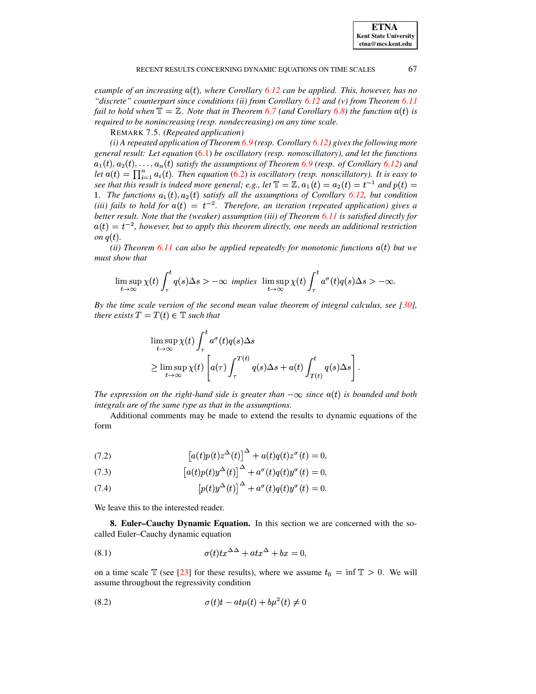| <b>ETNA</b>                  |
|------------------------------|
| <b>Kent State University</b> |
| etna@mcs.kent.edu            |

*example of an increasing* - *, where Corollary [6.12](#page-12-1) can be applied. This, however, has no "discrete" counterpart since conditions (ii) from Corollary [6.12](#page-12-1) and (v) from Theorem [6.11](#page-12-2) fail* to hold when  $\mathbb{T} = \mathbb{Z}$ . Note that in Theorem [6.7](#page-11-1) (and Corollary [6.8\)](#page-11-3) the function  $a(t)$  is *required to be nonincreasing (resp. nondecreasing) on any time scale.*

REMARK 7.5. *(Repeated application)*

*(i) A repeated application of Theorem [6.9](#page-11-2) (resp. Corollary [6.12\)](#page-12-1) gives the following more general result: Let equation* [\(6.1\)](#page-9-3) *be oscillatory (resp. nonoscillatory), and let the functions*  $a_1(t), a_2(t), \ldots, a_n(t)$  satisfy the assumptions of Theorem [6.9](#page-11-2) (resp. of Corollary [6.12\)](#page-12-1) and *let*  $a(t) = \prod_{i=1}^{n} a_i(t)$ . Then equation [\(6.2\)](#page-9-3) is oscillatory (resp. nonscillatory). It is easy to see that this result is indeed more general; e.g., let  $\mathbb{T} = \mathbb{Z}$ ,  $a_1(t) = a_2(t) = t^{-1}$  and  $p(t) =$ **1.** The functions  $a_1(t), a_2(t)$  satisfy all the assumptions of Corollary [6.12,](#page-12-1) but condition *(iii) fails to hold for*  $a(t) = t^{-2}$ *. Therefore, an iteration (repeated application) gives a better result. Note that the (weaker) assumption (iii) of Theorem [6.11](#page-12-2) is satisfied directly for*  $a(t) = t^{-2}$ , however, but to apply this theorem directly, one needs an additional restriction *on*  $q(t)$ .

*(ii) Theorem 6.11 can also be applied repeatedly for monotonic functions*  $a(t)$  *but we must show that* 

$$
\limsup_{t\to\infty}\chi(t)\int_{\tau}^t q(s)\Delta s > -\infty \ \ \text{implies} \ \ \limsup_{t\to\infty}\chi(t)\int_{\tau}^t a^\sigma(t)q(s)\Delta s > -\infty.
$$

*By the time scale version of the second mean value theorem of integral calculus, see [\[30\]](#page-19-20), there exists*  $T = T(t) \in \mathbb{T}$  *such that* 

$$
\limsup_{t \to \infty} \chi(t) \int_{\tau}^{t} a^{\sigma}(t) q(s) \Delta s
$$
\n
$$
\geq \limsup_{t \to \infty} \chi(t) \left[ a(\tau) \int_{\tau}^{T(t)} q(s) \Delta s + a(t) \int_{T(t)}^{t} q(s) \Delta s \right].
$$

*The* expression on the right-hand side is greater than  $-\infty$  since  $a(t)$  is bounded and both *integrals are of the same type as that in the assumptions.*

Additional comments may be made to extend the results to dynamic equations of the form

(7.2) 
$$
\left[a(t)p(t)z^{\Delta}(t)\right]^{\Delta} + a(t)q(t)z^{\sigma}(t) = 0,
$$

 $\blacksquare$ 

(7.3) 
$$
\left[a(t)p(t)y^{\Delta}(t)\right]^{\Delta} + a^{\sigma}(t)q(t)y^{\sigma}(t) = 0,
$$

(7.4) 
$$
\left[p(t)y^{\Delta}(t)\right]^{\Delta} + a^{\sigma}(t)q(t)y^{\sigma}(t) = 0.
$$

<span id="page-16-0"></span>We leave this to the interested reader.

**8. Euler–Cauchy Dynamic Equation.** In this section we are concerned with the socalled Euler–Cauchy dynamic equation

<span id="page-16-1"></span>(8.1) 
$$
\sigma(t)tx^{\Delta\Delta} + atx^{\Delta} + bx = 0,
$$

on a time scale  $\mathbb T$  (see [\[23\]](#page-19-21) for these results), where we assume  $t_0 = \inf \mathbb T > 0$ . We will assume throughout the regressivity condition

$$
\sigma(t)t - at\mu(t) + b\mu^{2}(t) \neq 0
$$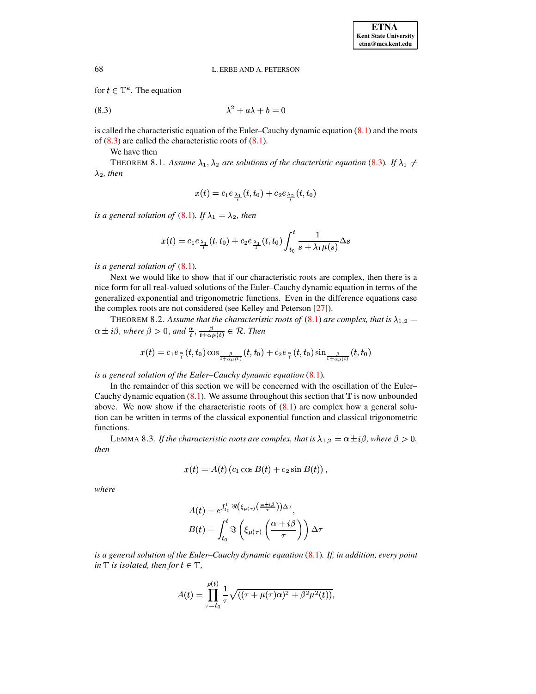for  $t \in \mathbb{T}^n$ . The equation

$$
\lambda^2 + a\lambda + b = 0
$$

is called the characteristic equation of the Euler–Cauchy dynamic equation  $(8.1)$  and the roots of  $(8.3)$  are called the characteristic roots of  $(8.1)$ .

<span id="page-17-0"></span>We have then

THEOREM 8.1. Assume  $\lambda_1, \lambda_2$  are solutions of the chacteristic equation [\(8.3\)](#page-17-0). If  $\lambda_1 \neq$  $\lambda_2$ , *then* 

$$
x(t) = c_1 e_{\lambda_1}(t,t_0) + c_2 e_{\lambda_2}(t,t_0)
$$

*is a* general solution of [\(8.1\)](#page-16-1). If  $\lambda_1 = \lambda_2$ , then

$$
x(t) = c_1 e_{\frac{\lambda_1}{t}}(t, t_0) + c_2 e_{\frac{\lambda_1}{t}}(t, t_0) \int_{t_0}^t \frac{1}{s + \lambda_1 \mu(s)} \Delta s
$$

*is a general solution of* [\(8.1\)](#page-16-1)*.*

Next we would like to show that if our characteristic roots are complex, then there is a nice form for all real-valued solutions of the Euler–Cauchy dynamic equation in terms of the generalized exponential and trigonometric functions. Even in the difference equations case the complex roots are not considered (see Kelley and Peterson [\[27\]](#page-19-22)).

THEOREM 8.2. Assume that the characteristic roots of  $(8.1)$  are complex, that is  $\lambda_{1,2} =$  $\alpha \pm i\beta$ , where  $\beta > 0$ , and  $\frac{\alpha}{t}, \frac{\beta}{t + \alpha u(t)} \in \mathcal{R}$ . Then

$$
x(t)=c_1e_{\frac{\alpha}{t}}(t,t_0)\cos_{\frac{\beta}{t+\alpha\mu(t)}}(t,t_0)+c_2e_{\frac{\alpha}{t}}(t,t_0)\sin_{\frac{\beta}{t+\alpha\mu(t)}}(t,t_0)
$$

*is a general solution of the Euler–Cauchy dynamic equation* [\(8.1\)](#page-16-1)*.*

In the remainder of this section we will be concerned with the oscillation of the Euler– Cauchy dynamic equation  $(8.1)$ . We assume throughout this section that  $\mathbb T$  is now unbounded above. We now show if the characteristic roots of  $(8.1)$  are complex how a general solution can be written in terms of the classical exponential function and classical trigonometric functions.

LEMMA 8.3. If the characteristic roots are complex, that is  $\lambda_{1,2} = \alpha \pm i\beta$ , where  $\beta > 0$ , *then*

$$
x(t) = A(t) (c_1 \cos B(t) + c_2 \sin B(t)),
$$

*where*

$$
A(t) = e^{\int_{t_0}^t \Re(\xi_{\mu(\tau)}(\frac{\alpha+i\beta}{\tau}))\Delta\tau},
$$
  

$$
B(t) = \int_{t_0}^t \Im\left(\xi_{\mu(\tau)}(\frac{\alpha+i\beta}{\tau})\right)\Delta\tau
$$

*is a general solution of the Euler–Cauchy dynamic equation* [\(8.1\)](#page-16-1)*. If, in addition, every point in*  $\mathbb{T}$  *is isolated, then for*  $t \in \mathbb{T}$ *,* 

$$
A(t) = \prod_{\tau=t_0}^{\rho(t)} \frac{1}{\tau} \sqrt{((\tau + \mu(\tau)\alpha)^2 + \beta^2 \mu^2(t))},
$$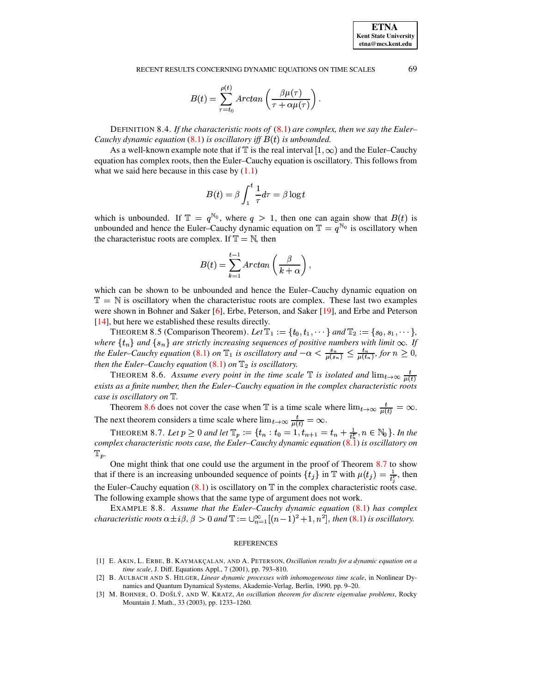$$
B(t) = \sum_{\tau=t_0}^{\rho(t)} Arctan\left(\frac{\beta\mu(\tau)}{\tau + \alpha\mu(\tau)}\right)
$$

DEFINITION 8.4. If the characteristic roots of  $(8.1)$  are complex, then we say the Euler-Cauchy dynamic equation  $(8.1)$  is oscillatory iff  $B(t)$  is unbounded.

As a well-known example note that if  $\mathbb T$  is the real interval  $[1,\infty)$  and the Euler-Cauchy equation has complex roots, then the Euler–Cauchy equation is oscillatory. This follows from what we said here because in this case by  $(1.1)$ 

$$
B(t) = \beta \int_1^t \frac{1}{\tau} d\tau = \beta \log t
$$

which is unbounded. If  $\mathbb{T} = q^{\mathbb{N}_0}$ , where  $q > 1$ , then one can again show that  $B(t)$  is unbounded and hence the Euler-Cauchy dynamic equation on  $\mathbb{T} = q^{\mathbb{N}_0}$  is oscillatory when the characteristic roots are complex. If  $\mathbb{T} = \mathbb{N}$ , then

$$
B(t) = \sum_{k=1}^{t-1} Arctan\left(\frac{\beta}{k+\alpha}\right),
$$

which can be shown to be unbounded and hence the Euler-Cauchy dynamic equation on  $\mathbb{T} = \mathbb{N}$  is oscillatory when the characteristuc roots are complex. These last two examples were shown in Bohner and Saker [6], Erbe, Peterson, and Saker [19], and Erbe and Peterson  $[14]$ , but here we established these results directly.

THEOREM 8.5 (Comparison Theorem). Let  $\mathbb{T}_1 := \{t_0, t_1, \dots \}$  and  $\mathbb{T}_2 := \{s_0, s_1, \dots \}$ , where  $\{t_n\}$  and  $\{s_n\}$  are strictly increasing sequences of positive numbers with limit  $\infty$ . If the Euler-Cauchy equation (8.1) on  $\mathbb{T}_1$  is oscillatory and  $-\alpha < \frac{s_n}{\mu(s_n)} \leq \frac{t_n}{\mu(t_n)}$ , for  $n \geq 0$ , then the Euler-Cauchy equation  $(8.1)$  on  $\mathbb{T}_2$  is oscillatory.

<span id="page-18-2"></span>THEOREM 8.6. Assume every point in the time scale  $\mathbb T$  is isolated and  $\lim_{t\to\infty}\frac{t}{u(t)}$ exists as a finite number, then the Euler-Cauchy equation in the complex characteristic roots case is oscillatory on  $\mathbb{T}$ .

Theorem 8.6 does not cover the case when T is a time scale where  $\lim_{t\to\infty} \frac{t}{\mu(t)} = \infty$ . The next theorem considers a time scale where  $\lim_{t\to\infty} \frac{t}{\mu(t)} = \infty$ .

<span id="page-18-3"></span>THEOREM 8.7. Let  $p \ge 0$  and let  $\mathbb{T}_p := \{t_n : t_0 = 1, t_{n+1} = t_n + \frac{1}{t_n^2}, n \in \mathbb{N}_0\}$ . In the complex characteristic roots case, the Euler-Cauchy dynamic equation  $(8.1)$  is oscillatory on  $\text{T}_p$ .

One might think that one could use the argument in the proof of Theorem 8.7 to show that if there is an increasing unbounded sequence of points  $\{t_j\}$  in  $\mathbb T$  with  $\mu(t_j) = \frac{1}{t^p}$ , then the Euler-Cauchy equation  $(8.1)$  is oscillatory on  $\mathbb T$  in the complex characteristic roots case. The following example shows that the same type of argument does not work.

EXAMPLE 8.8. Assume that the Euler-Cauchy dynamic equation (8.1) has complex characteristic roots  $\alpha \pm i\beta$ ,  $\beta > 0$  and  $\mathbb{T} := \bigcup_{n=1}^{\infty} [(n-1)^2 + 1, n^2]$ , then (8.1) is oscillatory.

#### **REFERENCES**

- <span id="page-18-0"></span>[1] E. AKIN, L. ERBE, B. KAYMAKÇALAN, AND A. PETERSON, Oscillation results for a dynamic equation on a time scale, J. Diff. Equations Appl., 7 (2001), pp. 793-810.
- [2] B. AULBACH AND S. HILGER, Linear dynamic processes with inhomogeneous time scale, in Nonlinear Dynamics and Quantum Dynamical Systems, Akademie-Verlag, Berlin, 1990, pp. 9-20.
- <span id="page-18-1"></span>[3] M. BOHNER, O. DOŠLÝ, AND W. KRATZ, An oscillation theorem for discrete eigenvalue problems, Rocky Mountain J. Math., 33 (2003), pp. 1233-1260.